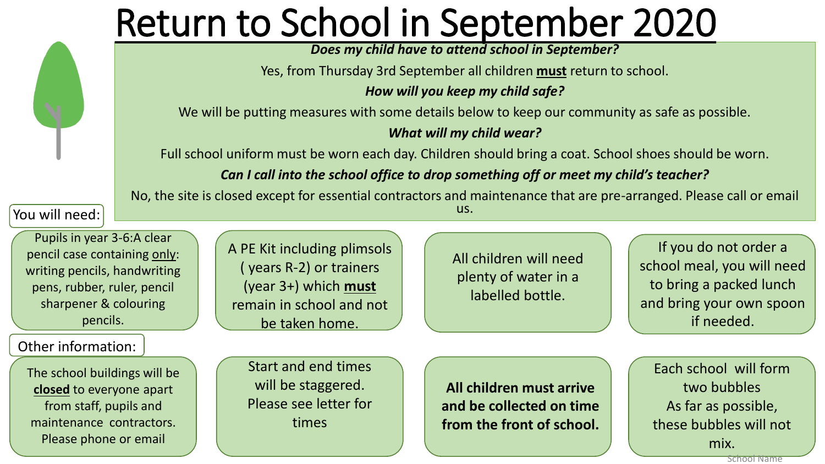## Return to School in September 2020

*Does my child have to attend school in September?* 

Yes, from Thursday 3rd September all children **must** return to school.

*How will you keep my child safe?*

We will be putting measures with some details below to keep our community as safe as possible.

#### *What will my child wear?*

Full school uniform must be worn each day. Children should bring a coat. School shoes should be worn.

*Can I call into the school office to drop something off or meet my child's teacher?*

No, the site is closed except for essential contractors and maintenance that are pre-arranged. Please call or email us.

You will need:

Pupils in year 3-6:A clear pencil case containing only: writing pencils, handwriting pens, rubber, ruler, pencil sharpener & colouring pencils.

Other information:

The school buildings will be **closed** to everyone apart from staff, pupils and maintenance contractors. Please phone or email

A PE Kit including plimsols ( years R-2) or trainers (year 3+) which **must** remain in school and not be taken home.

All children will need plenty of water in a labelled bottle.

If you do not order a school meal, you will need to bring a packed lunch and bring your own spoon if needed.

Start and end times will be staggered. Please see letter for times

**All children must arrive and be collected on time from the front of school.**

Each school will form two bubbles As far as possible, these bubbles will not mix.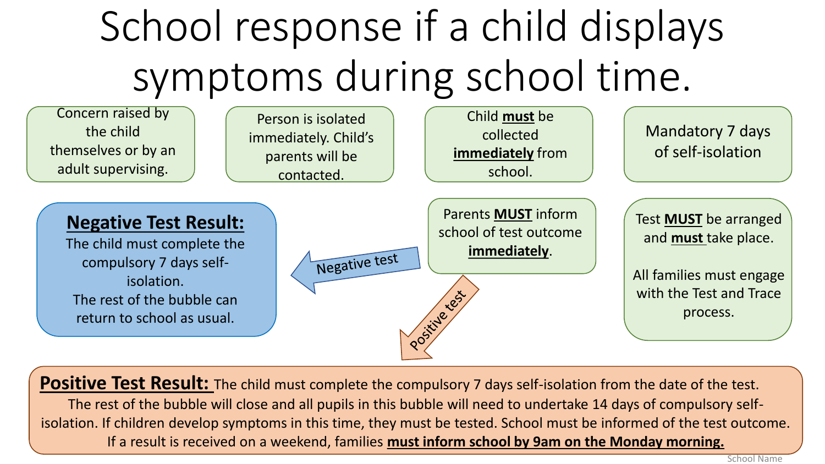# School response if a child displays symptoms during school time.



**Positive Test Result:** The child must complete the compulsory 7 days self-isolation from the date of the test. The rest of the bubble will close and all pupils in this bubble will need to undertake 14 days of compulsory selfisolation. If children develop symptoms in this time, they must be tested. School must be informed of the test outcome. If a result is received on a weekend, families **must inform school by 9am on the Monday morning.**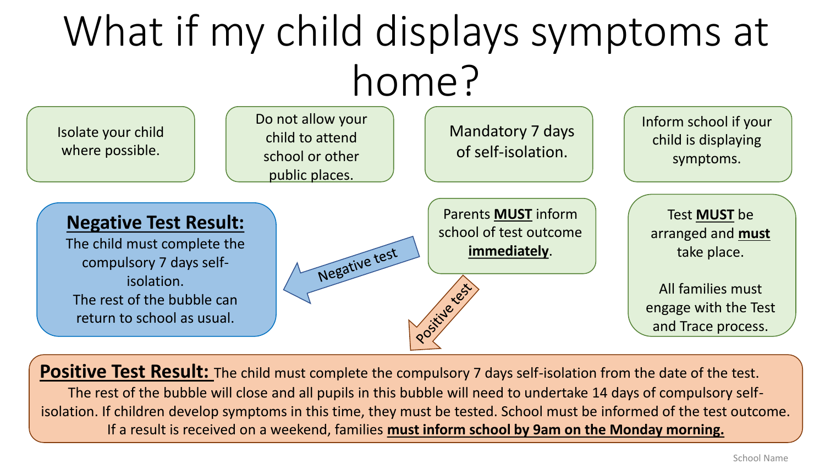# What if my child displays symptoms at home?



**Positive Test Result:** The child must complete the compulsory 7 days self-isolation from the date of the test. The rest of the bubble will close and all pupils in this bubble will need to undertake 14 days of compulsory selfisolation. If children develop symptoms in this time, they must be tested. School must be informed of the test outcome. If a result is received on a weekend, families **must inform school by 9am on the Monday morning.**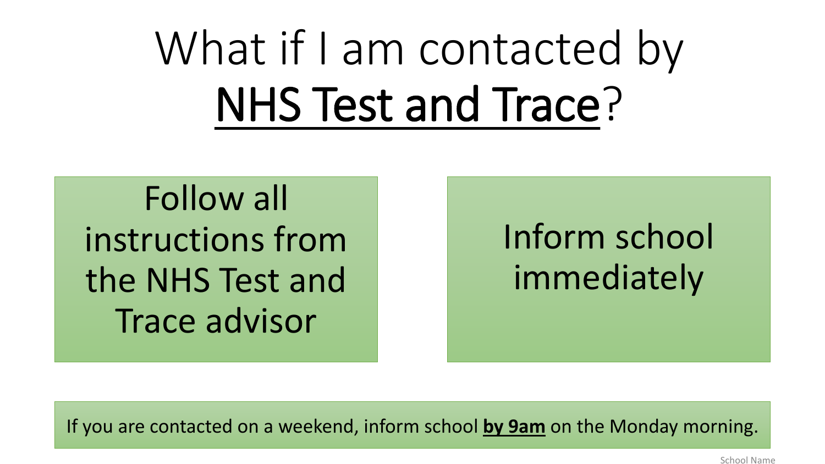What if I am contacted by NHS Test and Trace?

Follow all instructions from the NHS Test and Trace advisor

### Inform school immediately

If you are contacted on a weekend, inform school **by 9am** on the Monday morning.